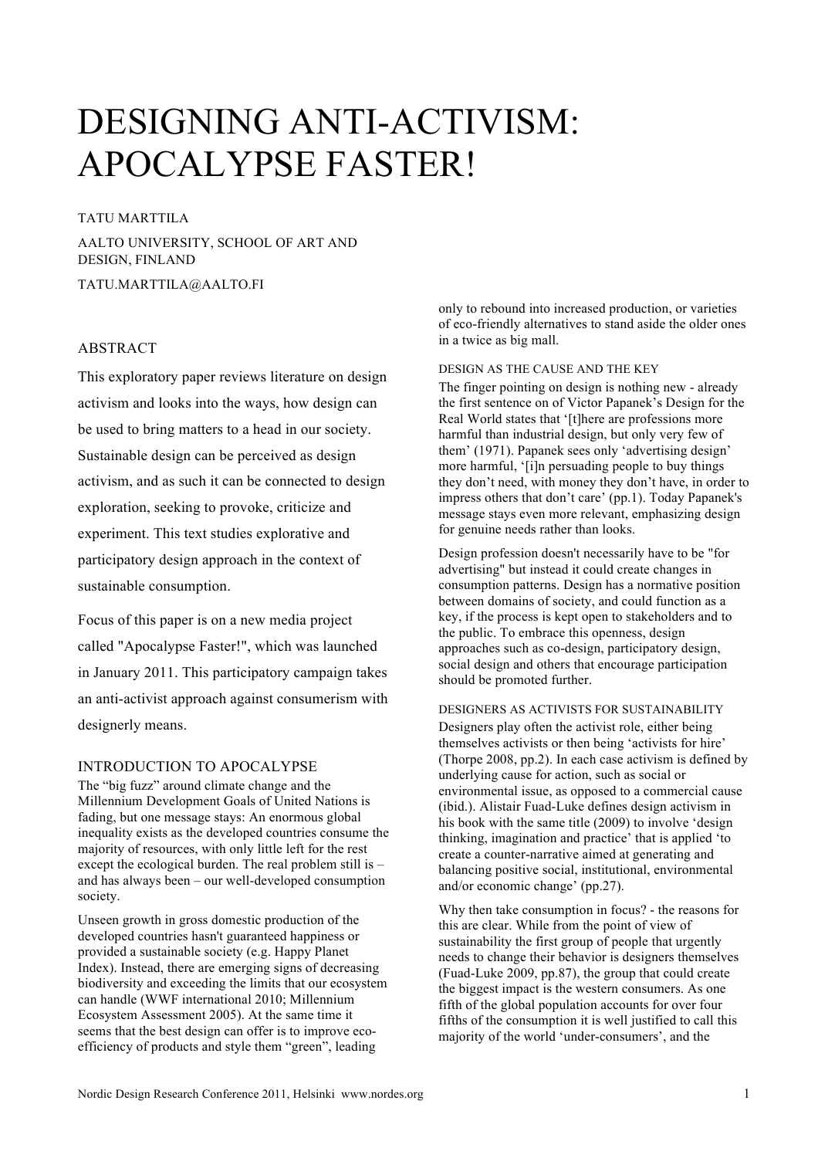# DESIGNING ANTI-ACTIVISM: APOCALYPSE FASTER!

# TATU MARTTILA

AALTO UNIVERSITY, SCHOOL OF ART AND DESIGN, FINLAND

TATU.MARTTILA@AALTO.FI

### ABSTRACT

This exploratory paper reviews literature on design activism and looks into the ways, how design can be used to bring matters to a head in our society. Sustainable design can be perceived as design activism, and as such it can be connected to design exploration, seeking to provoke, criticize and experiment. This text studies explorative and participatory design approach in the context of sustainable consumption.

Focus of this paper is on a new media project called "Apocalypse Faster!", which was launched in January 2011. This participatory campaign takes an anti-activist approach against consumerism with designerly means.

## INTRODUCTION TO APOCALYPSE

The "big fuzz" around climate change and the Millennium Development Goals of United Nations is fading, but one message stays: An enormous global inequality exists as the developed countries consume the majority of resources, with only little left for the rest except the ecological burden. The real problem still is – and has always been – our well-developed consumption society.

Unseen growth in gross domestic production of the developed countries hasn't guaranteed happiness or provided a sustainable society (e.g. Happy Planet Index). Instead, there are emerging signs of decreasing biodiversity and exceeding the limits that our ecosystem can handle (WWF international 2010; Millennium Ecosystem Assessment 2005). At the same time it seems that the best design can offer is to improve ecoefficiency of products and style them "green", leading

only to rebound into increased production, or varieties of eco-friendly alternatives to stand aside the older ones in a twice as big mall.

## DESIGN AS THE CAUSE AND THE KEY

The finger pointing on design is nothing new - already the first sentence on of Victor Papanek's Design for the Real World states that '[t]here are professions more harmful than industrial design, but only very few of them' (1971). Papanek sees only 'advertising design' more harmful, '[i]n persuading people to buy things they don't need, with money they don't have, in order to impress others that don't care' (pp.1). Today Papanek's message stays even more relevant, emphasizing design for genuine needs rather than looks.

Design profession doesn't necessarily have to be "for advertising" but instead it could create changes in consumption patterns. Design has a normative position between domains of society, and could function as a key, if the process is kept open to stakeholders and to the public. To embrace this openness, design approaches such as co-design, participatory design, social design and others that encourage participation should be promoted further.

#### DESIGNERS AS ACTIVISTS FOR SUSTAINABILITY

Designers play often the activist role, either being themselves activists or then being 'activists for hire' (Thorpe 2008, pp.2). In each case activism is defined by underlying cause for action, such as social or environmental issue, as opposed to a commercial cause (ibid.). Alistair Fuad-Luke defines design activism in his book with the same title (2009) to involve 'design thinking, imagination and practice' that is applied 'to create a counter-narrative aimed at generating and balancing positive social, institutional, environmental and/or economic change' (pp.27).

Why then take consumption in focus? - the reasons for this are clear. While from the point of view of sustainability the first group of people that urgently needs to change their behavior is designers themselves (Fuad-Luke 2009, pp.87), the group that could create the biggest impact is the western consumers. As one fifth of the global population accounts for over four fifths of the consumption it is well justified to call this majority of the world 'under-consumers', and the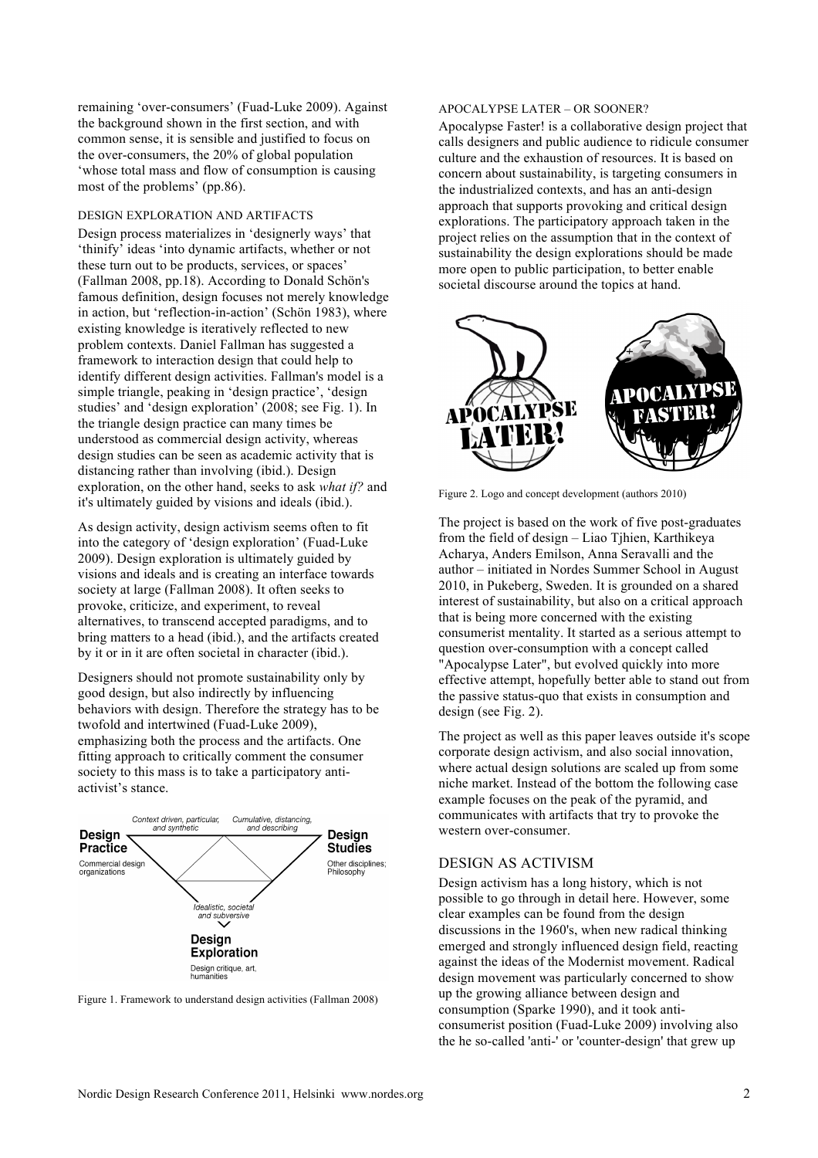remaining 'over-consumers' (Fuad-Luke 2009). Against the background shown in the first section, and with common sense, it is sensible and justified to focus on the over-consumers, the 20% of global population 'whose total mass and flow of consumption is causing most of the problems' (pp.86).

#### DESIGN EXPLORATION AND ARTIFACTS

Design process materializes in 'designerly ways' that 'thinify' ideas 'into dynamic artifacts, whether or not these turn out to be products, services, or spaces' (Fallman 2008, pp.18). According to Donald Schön's famous definition, design focuses not merely knowledge in action, but 'reflection-in-action' (Schön 1983), where existing knowledge is iteratively reflected to new problem contexts. Daniel Fallman has suggested a framework to interaction design that could help to identify different design activities. Fallman's model is a simple triangle, peaking in 'design practice', 'design studies' and 'design exploration' (2008; see Fig. 1). In the triangle design practice can many times be understood as commercial design activity, whereas design studies can be seen as academic activity that is distancing rather than involving (ibid.). Design exploration, on the other hand, seeks to ask *what if?* and it's ultimately guided by visions and ideals (ibid.).

As design activity, design activism seems often to fit into the category of 'design exploration' (Fuad-Luke 2009). Design exploration is ultimately guided by visions and ideals and is creating an interface towards society at large (Fallman 2008). It often seeks to provoke, criticize, and experiment, to reveal alternatives, to transcend accepted paradigms, and to bring matters to a head (ibid.), and the artifacts created by it or in it are often societal in character (ibid.).

Designers should not promote sustainability only by good design, but also indirectly by influencing behaviors with design. Therefore the strategy has to be twofold and intertwined (Fuad-Luke 2009), emphasizing both the process and the artifacts. One fitting approach to critically comment the consumer society to this mass is to take a participatory antiactivist's stance.



Figure 1. Framework to understand design activities (Fallman 2008)

#### APOCALYPSE LATER – OR SOONER?

Apocalypse Faster! is a collaborative design project that calls designers and public audience to ridicule consumer culture and the exhaustion of resources. It is based on concern about sustainability, is targeting consumers in the industrialized contexts, and has an anti-design approach that supports provoking and critical design explorations. The participatory approach taken in the project relies on the assumption that in the context of sustainability the design explorations should be made more open to public participation, to better enable societal discourse around the topics at hand.



Figure 2. Logo and concept development (authors 2010)

The project is based on the work of five post-graduates from the field of design – Liao Tjhien, Karthikeya Acharya, Anders Emilson, Anna Seravalli and the author – initiated in Nordes Summer School in August 2010, in Pukeberg, Sweden. It is grounded on a shared interest of sustainability, but also on a critical approach that is being more concerned with the existing consumerist mentality. It started as a serious attempt to question over-consumption with a concept called "Apocalypse Later", but evolved quickly into more effective attempt, hopefully better able to stand out from the passive status-quo that exists in consumption and design (see Fig. 2).

The project as well as this paper leaves outside it's scope corporate design activism, and also social innovation, where actual design solutions are scaled up from some niche market. Instead of the bottom the following case example focuses on the peak of the pyramid, and communicates with artifacts that try to provoke the western over-consumer.

#### DESIGN AS ACTIVISM

Design activism has a long history, which is not possible to go through in detail here. However, some clear examples can be found from the design discussions in the 1960's, when new radical thinking emerged and strongly influenced design field, reacting against the ideas of the Modernist movement. Radical design movement was particularly concerned to show up the growing alliance between design and consumption (Sparke 1990), and it took anticonsumerist position (Fuad-Luke 2009) involving also the he so-called 'anti-' or 'counter-design' that grew up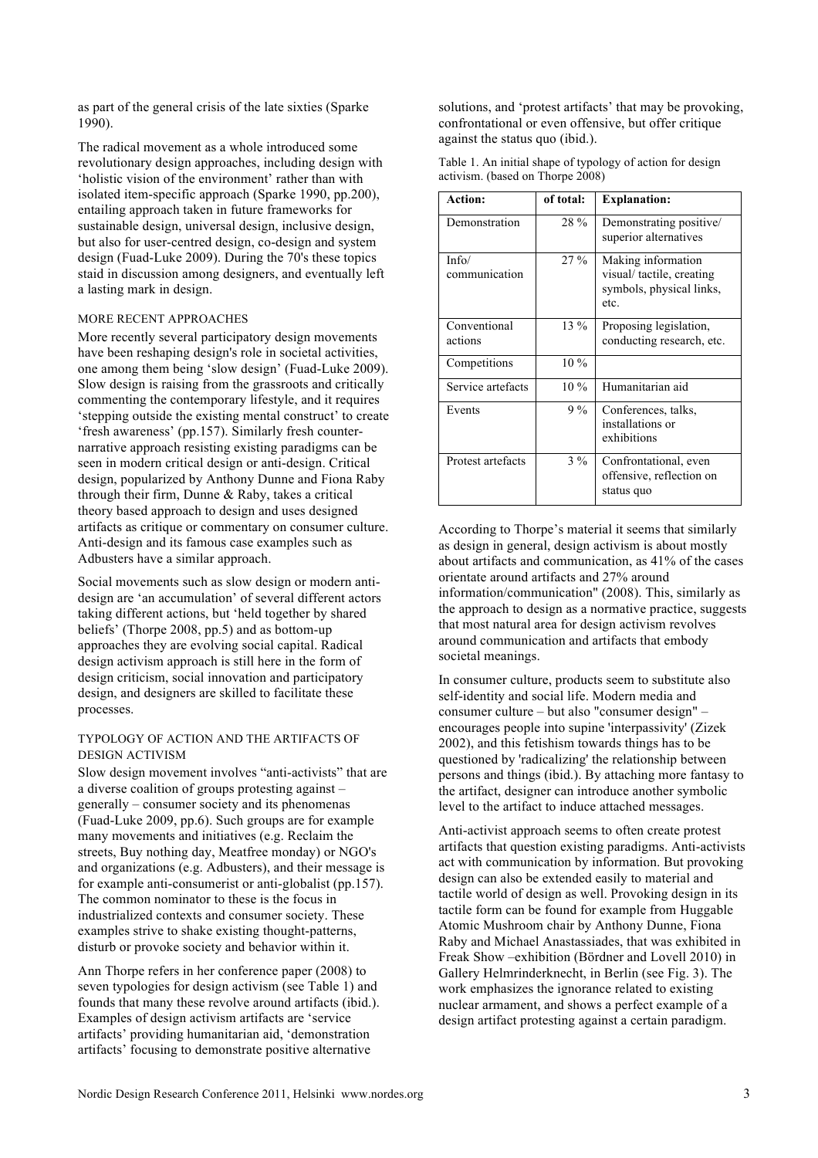as part of the general crisis of the late sixties (Sparke 1990).

The radical movement as a whole introduced some revolutionary design approaches, including design with 'holistic vision of the environment' rather than with isolated item-specific approach (Sparke 1990, pp.200), entailing approach taken in future frameworks for sustainable design, universal design, inclusive design, but also for user-centred design, co-design and system design (Fuad-Luke 2009). During the 70's these topics staid in discussion among designers, and eventually left a lasting mark in design.

## MORE RECENT APPROACHES

More recently several participatory design movements have been reshaping design's role in societal activities, one among them being 'slow design' (Fuad-Luke 2009). Slow design is raising from the grassroots and critically commenting the contemporary lifestyle, and it requires 'stepping outside the existing mental construct' to create 'fresh awareness' (pp.157). Similarly fresh counternarrative approach resisting existing paradigms can be seen in modern critical design or anti-design. Critical design, popularized by Anthony Dunne and Fiona Raby through their firm, Dunne & Raby, takes a critical theory based approach to design and uses designed artifacts as critique or commentary on consumer culture. Anti-design and its famous case examples such as Adbusters have a similar approach.

Social movements such as slow design or modern antidesign are 'an accumulation' of several different actors taking different actions, but 'held together by shared beliefs' (Thorpe 2008, pp.5) and as bottom-up approaches they are evolving social capital. Radical design activism approach is still here in the form of design criticism, social innovation and participatory design, and designers are skilled to facilitate these processes.

#### TYPOLOGY OF ACTION AND THE ARTIFACTS OF DESIGN ACTIVISM

Slow design movement involves "anti-activists" that are a diverse coalition of groups protesting against – generally – consumer society and its phenomenas (Fuad-Luke 2009, pp.6). Such groups are for example many movements and initiatives (e.g. Reclaim the streets, Buy nothing day, Meatfree monday) or NGO's and organizations (e.g. Adbusters), and their message is for example anti-consumerist or anti-globalist (pp.157). The common nominator to these is the focus in industrialized contexts and consumer society. These examples strive to shake existing thought-patterns, disturb or provoke society and behavior within it.

Ann Thorpe refers in her conference paper (2008) to seven typologies for design activism (see Table 1) and founds that many these revolve around artifacts (ibid.). Examples of design activism artifacts are 'service artifacts' providing humanitarian aid, 'demonstration artifacts' focusing to demonstrate positive alternative

solutions, and 'protest artifacts' that may be provoking, confrontational or even offensive, but offer critique against the status quo (ibid.).

| Table 1. An initial shape of typology of action for design |  |
|------------------------------------------------------------|--|
| activism. (based on Thorpe 2008)                           |  |

| Action:                 | of total: | <b>Explanation:</b>                                                                |
|-------------------------|-----------|------------------------------------------------------------------------------------|
| Demonstration           | 28 %      | Demonstrating positive/<br>superior alternatives                                   |
| Info/<br>communication  | $27\%$    | Making information<br>visual/tactile, creating<br>symbols, physical links,<br>etc. |
| Conventional<br>actions | $13\%$    | Proposing legislation,<br>conducting research, etc.                                |
| Competitions            | $10\%$    |                                                                                    |
| Service artefacts       | $10\%$    | Humanitarian aid                                                                   |
| Events                  | $9\%$     | Conferences, talks,<br>installations or<br>exhibitions                             |
| Protest artefacts       | $3\%$     | Confrontational, even<br>offensive, reflection on<br>status quo                    |

According to Thorpe's material it seems that similarly as design in general, design activism is about mostly about artifacts and communication, as 41% of the cases orientate around artifacts and 27% around information/communication" (2008). This, similarly as the approach to design as a normative practice, suggests that most natural area for design activism revolves around communication and artifacts that embody societal meanings.

In consumer culture, products seem to substitute also self-identity and social life. Modern media and consumer culture – but also "consumer design" – encourages people into supine 'interpassivity' (Zizek 2002), and this fetishism towards things has to be questioned by 'radicalizing' the relationship between persons and things (ibid.). By attaching more fantasy to the artifact, designer can introduce another symbolic level to the artifact to induce attached messages.

Anti-activist approach seems to often create protest artifacts that question existing paradigms. Anti-activists act with communication by information. But provoking design can also be extended easily to material and tactile world of design as well. Provoking design in its tactile form can be found for example from Huggable Atomic Mushroom chair by Anthony Dunne, Fiona Raby and Michael Anastassiades, that was exhibited in Freak Show –exhibition (Bördner and Lovell 2010) in Gallery Helmrinderknecht, in Berlin (see Fig. 3). The work emphasizes the ignorance related to existing nuclear armament, and shows a perfect example of a design artifact protesting against a certain paradigm.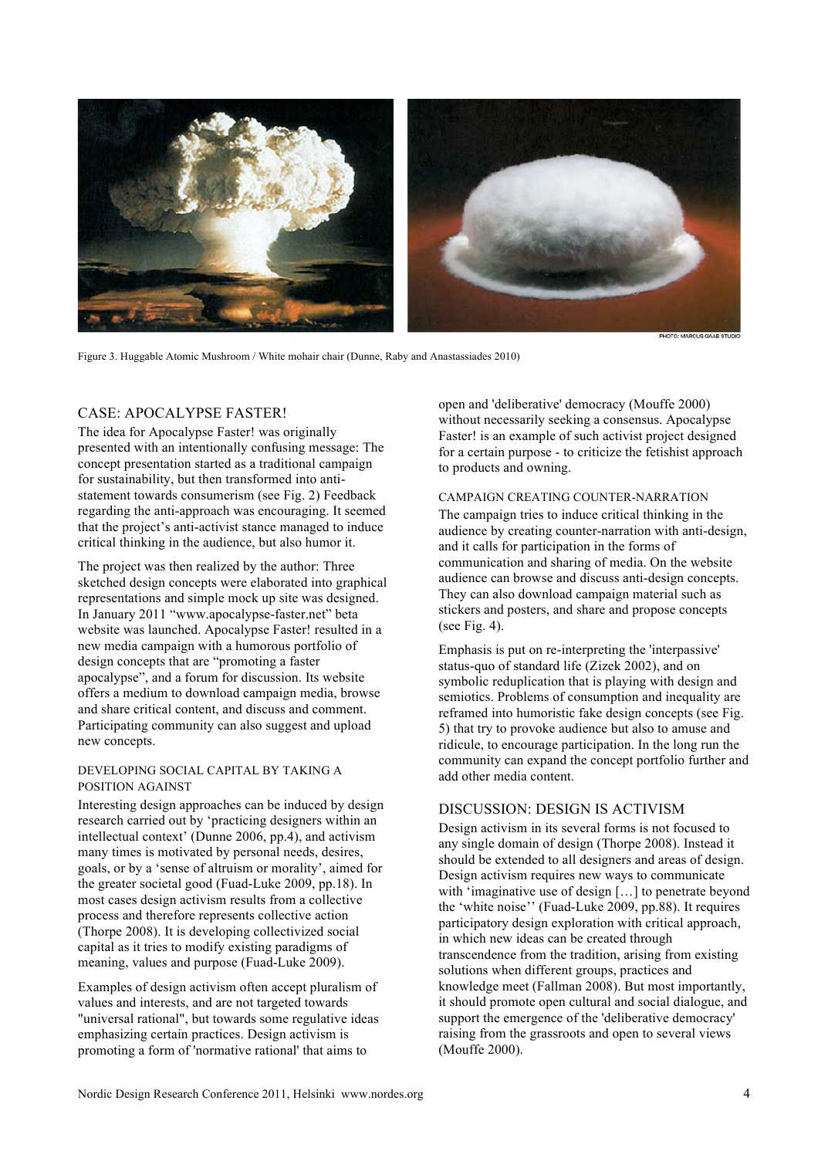

Figure 3. Huggable Atomic Mushroom / White mohair chair (Dunne, Raby and Anastassiades 2010)

# CASE: APOCALYPSE FASTER!

The idea for Apocalypse Faster! was originally presented with an intentionally confusing message: The concept presentation started as a traditional campaign for sustainability, but then transformed into antistatement towards consumerism (see Fig. 2) Feedback regarding the anti-approach was encouraging. It seemed that the project's anti-activist stance managed to induce critical thinking in the audience, but also humor it.

The project was then realized by the author: Three sketched design concepts were elaborated into graphical representations and simple mock up site was designed. In January 2011 "www.apocalypse-faster.net" beta website was launched. Apocalypse Faster! resulted in a new media campaign with a humorous portfolio of design concepts that are "promoting a faster apocalypse", and a forum for discussion. Its website offers a medium to download campaign media, browse and share critical content, and discuss and comment. Participating community can also suggest and upload new concepts.

## DEVELOPING SOCIAL CAPITAL BY TAKING A POSITION AGAINST

Interesting design approaches can be induced by design research carried out by 'practicing designers within an intellectual context' (Dunne 2006, pp.4), and activism many times is motivated by personal needs, desires, goals, or by a 'sense of altruism or morality', aimed for the greater societal good (Fuad-Luke 2009, pp.18). In most cases design activism results from a collective process and therefore represents collective action (Thorpe 2008). It is developing collectivized social capital as it tries to modify existing paradigms of meaning, values and purpose (Fuad-Luke 2009).

Examples of design activism often accept pluralism of values and interests, and are not targeted towards "universal rational", but towards some regulative ideas emphasizing certain practices. Design activism is promoting a form of 'normative rational' that aims to

open and 'deliberative' democracy (Mouffe 2000) without necessarily seeking a consensus. Apocalypse Faster! is an example of such activist project designed for a certain purpose - to criticize the fetishist approach to products and owning.

#### CAMPAIGN CREATING COUNTER-NARRATION

The campaign tries to induce critical thinking in the audience by creating counter-narration with anti-design, and it calls for participation in the forms of communication and sharing of media. On the website audience can browse and discuss anti-design concepts. They can also download campaign material such as stickers and posters, and share and propose concepts (see Fig. 4).

Emphasis is put on re-interpreting the 'interpassive' status-quo of standard life (Zizek 2002), and on symbolic reduplication that is playing with design and semiotics. Problems of consumption and inequality are reframed into humoristic fake design concepts (see Fig. 5) that try to provoke audience but also to amuse and ridicule, to encourage participation. In the long run the community can expand the concept portfolio further and add other media content.

# DISCUSSION: DESIGN IS ACTIVISM

Design activism in its several forms is not focused to any single domain of design (Thorpe 2008). Instead it should be extended to all designers and areas of design. Design activism requires new ways to communicate with 'imaginative use of design [...] to penetrate beyond the 'white noise'' (Fuad-Luke 2009, pp.88). It requires participatory design exploration with critical approach, in which new ideas can be created through transcendence from the tradition, arising from existing solutions when different groups, practices and knowledge meet (Fallman 2008). But most importantly, it should promote open cultural and social dialogue, and support the emergence of the 'deliberative democracy' raising from the grassroots and open to several views (Mouffe 2000).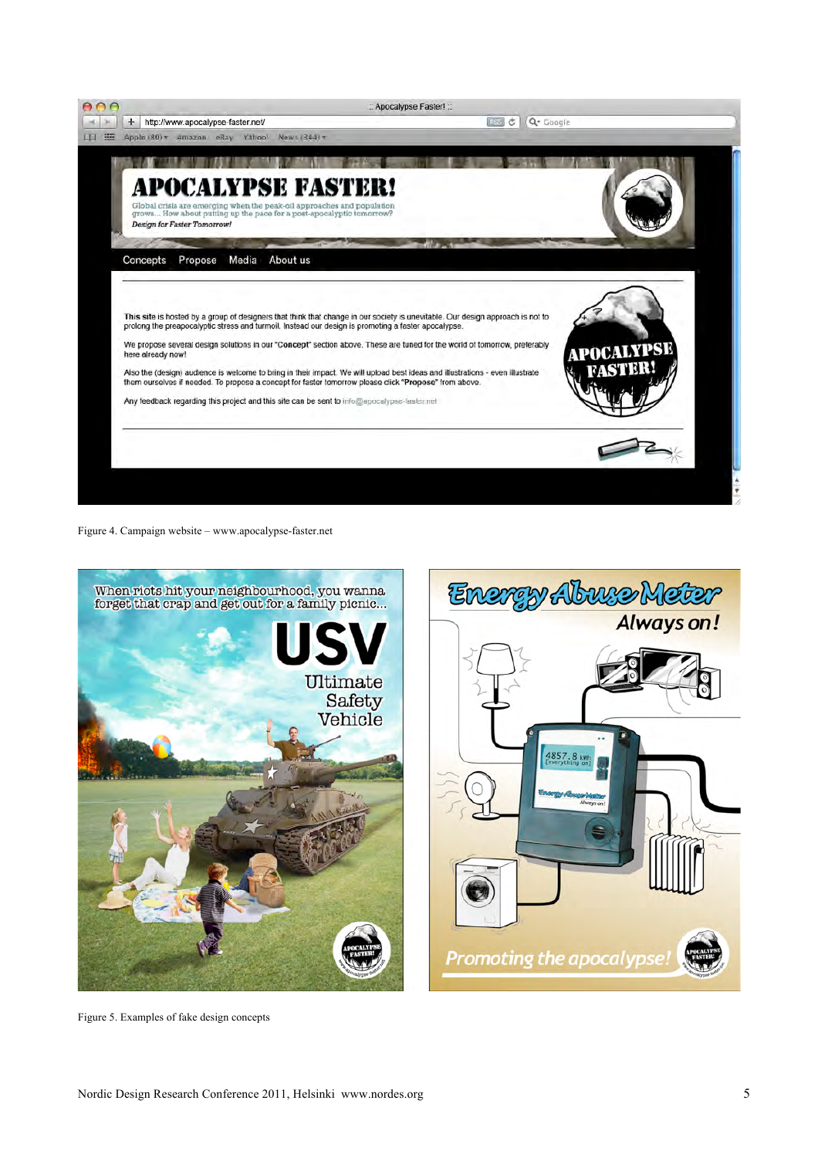

Figure 4. Campaign website – www.apocalypse-faster.net



Figure 5. Examples of fake design concepts